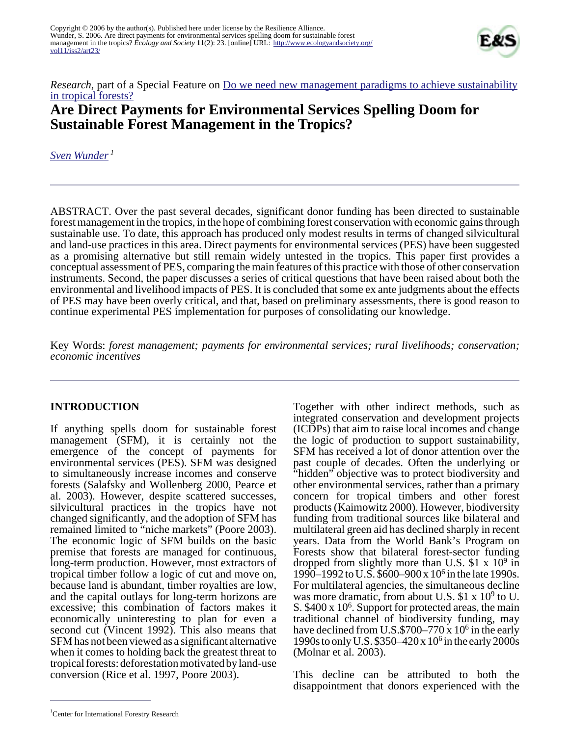

*Research*, part of a Special Feature on [Do we need new management paradigms to achieve sustainability](http://www.ecologyandsociety.org/viewissue.php?sf=27) [in tropical forests?](http://www.ecologyandsociety.org/viewissue.php?sf=27)

# **Are Direct Payments for Environmental Services Spelling Doom for Sustainable Forest Management in the Tropics?**

*[Sven Wunder](mailto:s.wunder@cgiar.org)<sup>1</sup>*

ABSTRACT. Over the past several decades, significant donor funding has been directed to sustainable forest management in the tropics, in the hope of combining forest conservation with economic gains through sustainable use. To date, this approach has produced only modest results in terms of changed silvicultural and land-use practices in this area. Direct payments for environmental services (PES) have been suggested as a promising alternative but still remain widely untested in the tropics. This paper first provides a conceptual assessment of PES, comparing the main features of this practice with those of other conservation instruments. Second, the paper discusses a series of critical questions that have been raised about both the environmental and livelihood impacts of PES. It is concluded that some ex ante judgments about the effects of PES may have been overly critical, and that, based on preliminary assessments, there is good reason to continue experimental PES implementation for purposes of consolidating our knowledge.

Key Words: *forest management; payments for environmental services; rural livelihoods; conservation; economic incentives*

### **INTRODUCTION**

If anything spells doom for sustainable forest management (SFM), it is certainly not the emergence of the concept of payments for environmental services (PES). SFM was designed to simultaneously increase incomes and conserve forests (Salafsky and Wollenberg 2000, Pearce et al. 2003). However, despite scattered successes, silvicultural practices in the tropics have not changed significantly, and the adoption of SFM has remained limited to "niche markets" (Poore 2003). The economic logic of SFM builds on the basic premise that forests are managed for continuous, long-term production. However, most extractors of tropical timber follow a logic of cut and move on, because land is abundant, timber royalties are low, and the capital outlays for long-term horizons are excessive; this combination of factors makes it economically uninteresting to plan for even a second cut (Vincent 1992). This also means that SFM has not been viewed as a significant alternative when it comes to holding back the greatest threat to tropical forests: deforestation motivated by land-use conversion (Rice et al. 1997, Poore 2003).

Together with other indirect methods, such as integrated conservation and development projects (ICDPs) that aim to raise local incomes and change the logic of production to support sustainability, SFM has received a lot of donor attention over the past couple of decades. Often the underlying or "hidden" objective was to protect biodiversity and other environmental services, rather than a primary concern for tropical timbers and other forest products (Kaimowitz 2000). However, biodiversity funding from traditional sources like bilateral and multilateral green aid has declined sharply in recent years. Data from the World Bank's Program on Forests show that bilateral forest-sector funding dropped from slightly more than U.S. \$1 x  $10^9$  in 1990–1992 to U.S. \$600–900 x 10<sup>6</sup> in the late 1990s. For multilateral agencies, the simultaneous decline was more dramatic, from about U.S.  $$1 x 10^9$  to U. S. \$400 x 10<sup>6</sup>. Support for protected areas, the main traditional channel of biodiversity funding, may have declined from U.S. \$700–770  $\bar{x}$  10<sup>6</sup> in the early 1990s to only U.S. \$350–420 x 10<sup>6</sup> in the early 2000s (Molnar et al. 2003).

This decline can be attributed to both the disappointment that donors experienced with the

<sup>&</sup>lt;sup>1</sup>Center for International Forestry Research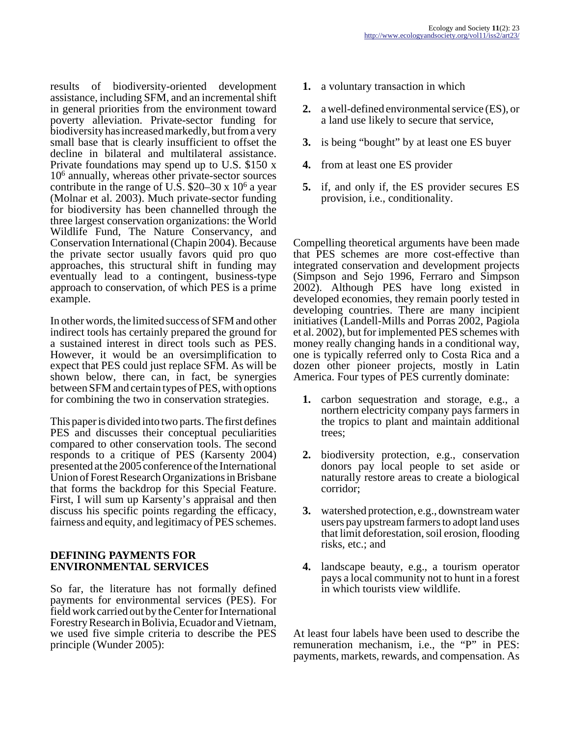results of biodiversity-oriented development assistance, including SFM, and an incremental shift in general priorities from the environment toward poverty alleviation. Private-sector funding for biodiversity has increased markedly, but from a very small base that is clearly insufficient to offset the decline in bilateral and multilateral assistance. Private foundations may spend up to U.S. \$150 x 10<sup>6</sup> annually, whereas other private-sector sources contribute in the range of U.S.  $$20-30 \times 10^6$  a year (Molnar et al. 2003). Much private-sector funding for biodiversity has been channelled through the three largest conservation organizations: the World Wildlife Fund, The Nature Conservancy, and Conservation International (Chapin 2004). Because the private sector usually favors quid pro quo approaches, this structural shift in funding may eventually lead to a contingent, business-type approach to conservation, of which PES is a prime example.

In other words, the limited success of SFM and other indirect tools has certainly prepared the ground for a sustained interest in direct tools such as PES. However, it would be an oversimplification to expect that PES could just replace SFM. As will be shown below, there can, in fact, be synergies between SFM and certain types of PES, with options for combining the two in conservation strategies.

This paper is divided into two parts. The first defines PES and discusses their conceptual peculiarities compared to other conservation tools. The second responds to a critique of PES (Karsenty 2004) presented at the 2005 conference of the International Union of Forest Research Organizations in Brisbane that forms the backdrop for this Special Feature. First, I will sum up Karsenty's appraisal and then discuss his specific points regarding the efficacy, fairness and equity, and legitimacy of PES schemes.

### **DEFINING PAYMENTS FOR ENVIRONMENTAL SERVICES**

So far, the literature has not formally defined payments for environmental services (PES). For field work carried out by the Center for International Forestry Research in Bolivia, Ecuador and Vietnam, we used five simple criteria to describe the PES principle (Wunder 2005):

- **1.** a voluntary transaction in which
- **2.** a well-defined environmental service (ES), or a land use likely to secure that service,
- **3.** is being "bought" by at least one ES buyer
- **4.** from at least one ES provider
- **5.** if, and only if, the ES provider secures ES provision, i.e., conditionality.

Compelling theoretical arguments have been made that PES schemes are more cost-effective than integrated conservation and development projects (Simpson and Sejo 1996, Ferraro and Simpson 2002). Although PES have long existed in developed economies, they remain poorly tested in developing countries. There are many incipient initiatives (Landell-Mills and Porras 2002, Pagiola et al. 2002), but for implemented PES schemes with money really changing hands in a conditional way, one is typically referred only to Costa Rica and a dozen other pioneer projects, mostly in Latin America. Four types of PES currently dominate:

- **1.** carbon sequestration and storage, e.g., a northern electricity company pays farmers in the tropics to plant and maintain additional trees;
- **2.** biodiversity protection, e.g., conservation donors pay local people to set aside or naturally restore areas to create a biological corridor;
- **3.** watershed protection, e.g., downstream water users pay upstream farmers to adopt land uses that limit deforestation, soil erosion, flooding risks, etc.; and
- **4.** landscape beauty, e.g., a tourism operator pays a local community not to hunt in a forest in which tourists view wildlife.

At least four labels have been used to describe the remuneration mechanism, i.e., the "P" in PES: payments, markets, rewards, and compensation. As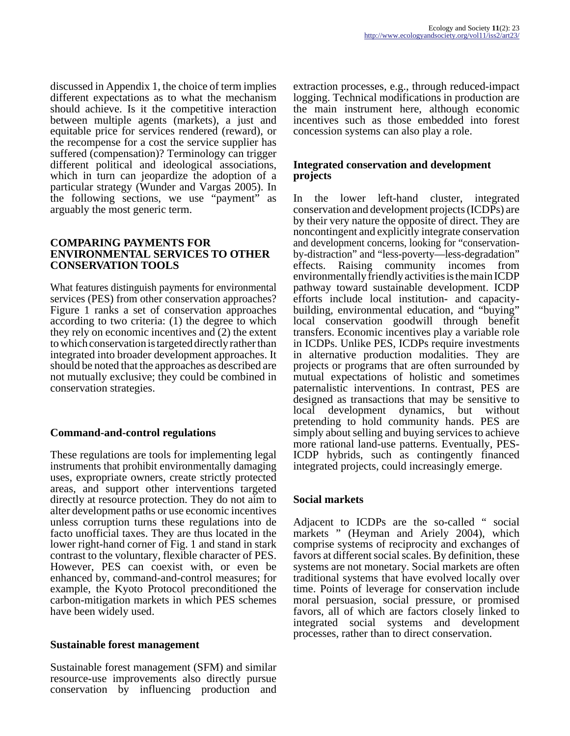discussed in Appendix 1, the choice of term implies different expectations as to what the mechanism should achieve. Is it the competitive interaction between multiple agents (markets), a just and equitable price for services rendered (reward), or the recompense for a cost the service supplier has suffered (compensation)? Terminology can trigger different political and ideological associations, which in turn can jeopardize the adoption of a particular strategy (Wunder and Vargas 2005). In the following sections, we use "payment" as arguably the most generic term.

#### **COMPARING PAYMENTS FOR ENVIRONMENTAL SERVICES TO OTHER CONSERVATION TOOLS**

What features distinguish payments for environmental services (PES) from other conservation approaches? Figure 1 ranks a set of conservation approaches according to two criteria: (1) the degree to which they rely on economic incentives and (2) the extent to which conservation is targeted directly rather than integrated into broader development approaches. It should be noted that the approaches as described are not mutually exclusive; they could be combined in conservation strategies.

### **Command-and-control regulations**

These regulations are tools for implementing legal instruments that prohibit environmentally damaging uses, expropriate owners, create strictly protected areas, and support other interventions targeted directly at resource protection. They do not aim to alter development paths or use economic incentives unless corruption turns these regulations into de facto unofficial taxes. They are thus located in the lower right-hand corner of Fig. 1 and stand in stark contrast to the voluntary, flexible character of PES. However, PES can coexist with, or even be enhanced by, command-and-control measures; for example, the Kyoto Protocol preconditioned the carbon-mitigation markets in which PES schemes have been widely used.

### **Sustainable forest management**

Sustainable forest management (SFM) and similar resource-use improvements also directly pursue conservation by influencing production and extraction processes, e.g., through reduced-impact logging. Technical modifications in production are the main instrument here, although economic incentives such as those embedded into forest concession systems can also play a role.

### **Integrated conservation and development projects**

In the lower left-hand cluster, integrated conservation and development projects (ICDPs) are by their very nature the opposite of direct. They are noncontingent and explicitly integrate conservation and development concerns, looking for "conservationby-distraction" and "less-poverty—less-degradation" effects. Raising community incomes from environmentally friendly activities is the main ICDP pathway toward sustainable development. ICDP efforts include local institution- and capacitybuilding, environmental education, and "buying" local conservation goodwill through benefit transfers. Economic incentives play a variable role in ICDPs. Unlike PES, ICDPs require investments in alternative production modalities. They are projects or programs that are often surrounded by mutual expectations of holistic and sometimes paternalistic interventions. In contrast, PES are designed as transactions that may be sensitive to local development dynamics, but without pretending to hold community hands. PES are simply about selling and buying services to achieve more rational land-use patterns. Eventually, PES-ICDP hybrids, such as contingently financed integrated projects, could increasingly emerge.

### **Social markets**

Adjacent to ICDPs are the so-called " social markets " (Heyman and Ariely 2004), which comprise systems of reciprocity and exchanges of favors at different social scales. By definition, these systems are not monetary. Social markets are often traditional systems that have evolved locally over time. Points of leverage for conservation include moral persuasion, social pressure, or promised favors, all of which are factors closely linked to integrated social systems and development processes, rather than to direct conservation.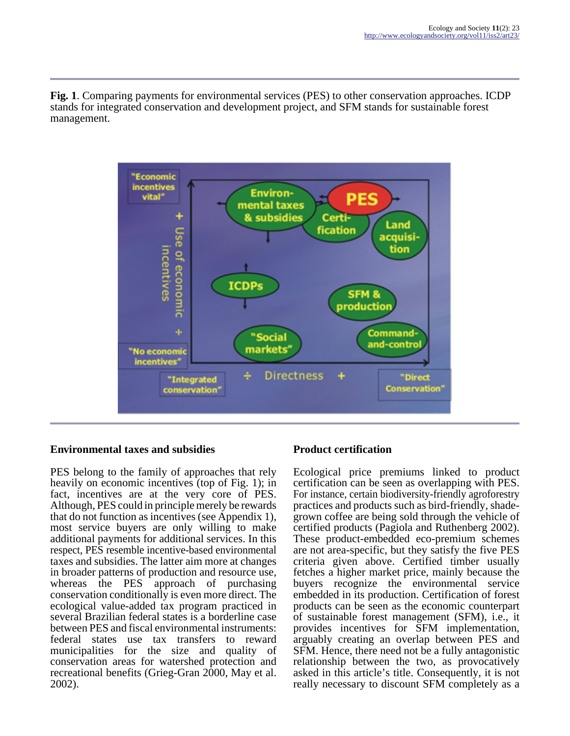**Fig. 1**. Comparing payments for environmental services (PES) to other conservation approaches. ICDP stands for integrated conservation and development project, and SFM stands for sustainable forest management.



### **Environmental taxes and subsidies**

PES belong to the family of approaches that rely heavily on economic incentives (top of Fig. 1); in fact, incentives are at the very core of PES. Although, PES could in principle merely be rewards that do not function as incentives (see Appendix 1), most service buyers are only willing to make additional payments for additional services. In this respect, PES resemble incentive-based environmental taxes and subsidies. The latter aim more at changes in broader patterns of production and resource use, whereas the PES approach of purchasing conservation conditionally is even more direct. The ecological value-added tax program practiced in several Brazilian federal states is a borderline case between PES and fiscal environmental instruments: federal states use tax transfers to reward municipalities for the size and quality of conservation areas for watershed protection and recreational benefits (Grieg-Gran 2000, May et al. 2002).

### **Product certification**

Ecological price premiums linked to product certification can be seen as overlapping with PES. For instance, certain biodiversity-friendly agroforestry practices and products such as bird-friendly, shadegrown coffee are being sold through the vehicle of certified products (Pagiola and Ruthenberg 2002). These product-embedded eco-premium schemes are not area-specific, but they satisfy the five PES criteria given above. Certified timber usually fetches a higher market price, mainly because the buyers recognize the environmental service embedded in its production. Certification of forest products can be seen as the economic counterpart of sustainable forest management (SFM), i.e., it provides incentives for SFM implementation, arguably creating an overlap between PES and SFM. Hence, there need not be a fully antagonistic relationship between the two, as provocatively asked in this article's title. Consequently, it is not really necessary to discount SFM completely as a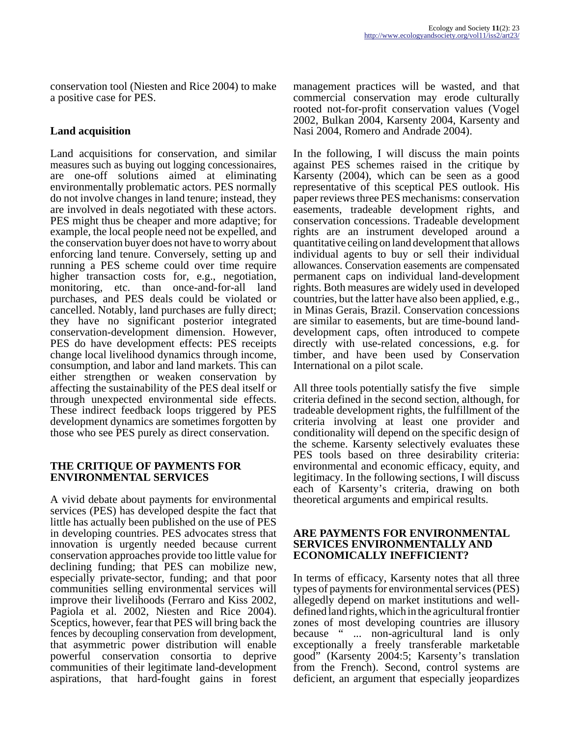conservation tool (Niesten and Rice 2004) to make a positive case for PES.

# **Land acquisition**

Land acquisitions for conservation, and similar measures such as buying out logging concessionaires, are one-off solutions aimed at eliminating environmentally problematic actors. PES normally do not involve changes in land tenure; instead, they are involved in deals negotiated with these actors. PES might thus be cheaper and more adaptive; for example, the local people need not be expelled, and the conservation buyer does not have to worry about enforcing land tenure. Conversely, setting up and running a PES scheme could over time require higher transaction costs for, e.g., negotiation, monitoring, etc. than once-and-for-all land purchases, and PES deals could be violated or cancelled. Notably, land purchases are fully direct; they have no significant posterior integrated conservation-development dimension. However, PES do have development effects: PES receipts change local livelihood dynamics through income, consumption, and labor and land markets. This can either strengthen or weaken conservation by affecting the sustainability of the PES deal itself or through unexpected environmental side effects. These indirect feedback loops triggered by PES development dynamics are sometimes forgotten by those who see PES purely as direct conservation.

#### **THE CRITIQUE OF PAYMENTS FOR ENVIRONMENTAL SERVICES**

A vivid debate about payments for environmental services (PES) has developed despite the fact that little has actually been published on the use of PES in developing countries. PES advocates stress that innovation is urgently needed because current conservation approaches provide too little value for declining funding; that PES can mobilize new, especially private-sector, funding; and that poor communities selling environmental services will improve their livelihoods (Ferraro and Kiss 2002, Pagiola et al. 2002, Niesten and Rice 2004). Sceptics, however, fear that PES will bring back the fences by decoupling conservation from development, that asymmetric power distribution will enable powerful conservation consortia to deprive communities of their legitimate land-development aspirations, that hard-fought gains in forest

management practices will be wasted, and that commercial conservation may erode culturally rooted not-for-profit conservation values (Vogel 2002, Bulkan 2004, Karsenty 2004, Karsenty and Nasi 2004, Romero and Andrade 2004).

In the following, I will discuss the main points against PES schemes raised in the critique by Karsenty (2004), which can be seen as a good representative of this sceptical PES outlook. His paper reviews three PES mechanisms: conservation easements, tradeable development rights, and conservation concessions. Tradeable development rights are an instrument developed around a quantitative ceiling on land development that allows individual agents to buy or sell their individual allowances. Conservation easements are compensated permanent caps on individual land-development rights. Both measures are widely used in developed countries, but the latter have also been applied, e.g., in Minas Gerais, Brazil. Conservation concessions are similar to easements, but are time-bound landdevelopment caps, often introduced to compete directly with use-related concessions, e.g. for timber, and have been used by Conservation International on a pilot scale.

All three tools potentially satisfy the five simple criteria defined in the second section, although, for tradeable development rights, the fulfillment of the criteria involving at least one provider and conditionality will depend on the specific design of the scheme. Karsenty selectively evaluates these PES tools based on three desirability criteria: environmental and economic efficacy, equity, and legitimacy. In the following sections, I will discuss each of Karsenty's criteria, drawing on both theoretical arguments and empirical results.

#### **ARE PAYMENTS FOR ENVIRONMENTAL SERVICES ENVIRONMENTALLY AND ECONOMICALLY INEFFICIENT?**

In terms of efficacy, Karsenty notes that all three types of payments for environmental services (PES) allegedly depend on market institutions and welldefined land rights, which in the agricultural frontier zones of most developing countries are illusory because " ... non-agricultural land is only exceptionally a freely transferable marketable good" (Karsenty 2004:5; Karsenty's translation from the French). Second, control systems are deficient, an argument that especially jeopardizes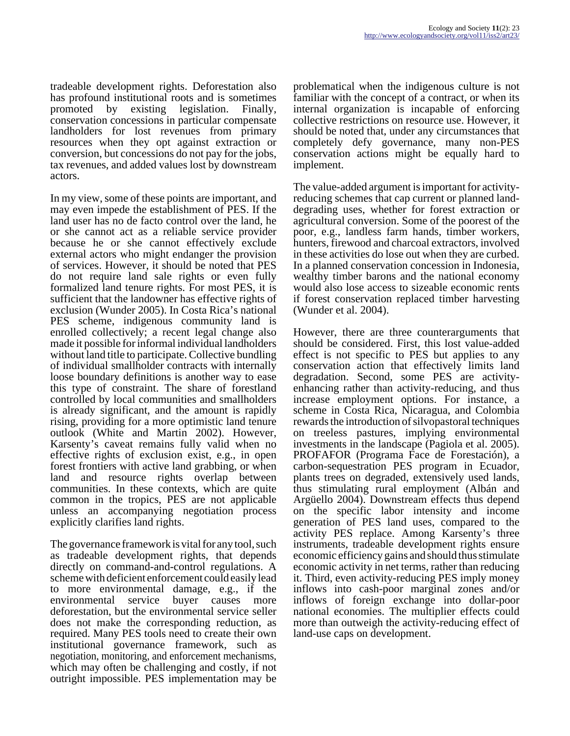tradeable development rights. Deforestation also has profound institutional roots and is sometimes promoted by existing legislation. Finally, conservation concessions in particular compensate landholders for lost revenues from primary resources when they opt against extraction or conversion, but concessions do not pay for the jobs, tax revenues, and added values lost by downstream actors.

In my view, some of these points are important, and may even impede the establishment of PES. If the land user has no de facto control over the land, he or she cannot act as a reliable service provider because he or she cannot effectively exclude external actors who might endanger the provision of services. However, it should be noted that PES do not require land sale rights or even fully formalized land tenure rights. For most PES, it is sufficient that the landowner has effective rights of exclusion (Wunder 2005). In Costa Rica's national PES scheme, indigenous community land is enrolled collectively; a recent legal change also made it possible for informal individual landholders without land title to participate. Collective bundling of individual smallholder contracts with internally loose boundary definitions is another way to ease this type of constraint. The share of forestland controlled by local communities and smallholders is already significant, and the amount is rapidly rising, providing for a more optimistic land tenure outlook (White and Martin 2002). However, Karsenty's caveat remains fully valid when no effective rights of exclusion exist, e.g., in open forest frontiers with active land grabbing, or when land and resource rights overlap between communities. In these contexts, which are quite common in the tropics, PES are not applicable unless an accompanying negotiation process explicitly clarifies land rights.

The governance framework is vital for any tool, such as tradeable development rights, that depends directly on command-and-control regulations. A scheme with deficient enforcement could easily lead to more environmental damage, e.g., if the environmental service buyer causes more deforestation, but the environmental service seller does not make the corresponding reduction, as required. Many PES tools need to create their own institutional governance framework, such as negotiation, monitoring, and enforcement mechanisms, which may often be challenging and costly, if not outright impossible. PES implementation may be

problematical when the indigenous culture is not familiar with the concept of a contract, or when its internal organization is incapable of enforcing collective restrictions on resource use. However, it should be noted that, under any circumstances that completely defy governance, many non-PES conservation actions might be equally hard to implement.

The value-added argument is important for activityreducing schemes that cap current or planned landdegrading uses, whether for forest extraction or agricultural conversion. Some of the poorest of the poor, e.g., landless farm hands, timber workers, hunters, firewood and charcoal extractors, involved in these activities do lose out when they are curbed. In a planned conservation concession in Indonesia, wealthy timber barons and the national economy would also lose access to sizeable economic rents if forest conservation replaced timber harvesting (Wunder et al. 2004).

However, there are three counterarguments that should be considered. First, this lost value-added effect is not specific to PES but applies to any conservation action that effectively limits land degradation. Second, some PES are activityenhancing rather than activity-reducing, and thus increase employment options. For instance, a scheme in Costa Rica, Nicaragua, and Colombia rewards the introduction of silvopastoral techniques on treeless pastures, implying environmental investments in the landscape (Pagiola et al. 2005). PROFAFOR (Programa Face de Forestación), a carbon-sequestration PES program in Ecuador, plants trees on degraded, extensively used lands, thus stimulating rural employment (Albán and Argüello 2004). Downstream effects thus depend on the specific labor intensity and income generation of PES land uses, compared to the activity PES replace. Among Karsenty's three instruments, tradeable development rights ensure economic efficiency gains and should thus stimulate economic activity in net terms, rather than reducing it. Third, even activity-reducing PES imply money inflows into cash-poor marginal zones and/or inflows of foreign exchange into dollar-poor national economies. The multiplier effects could more than outweigh the activity-reducing effect of land-use caps on development.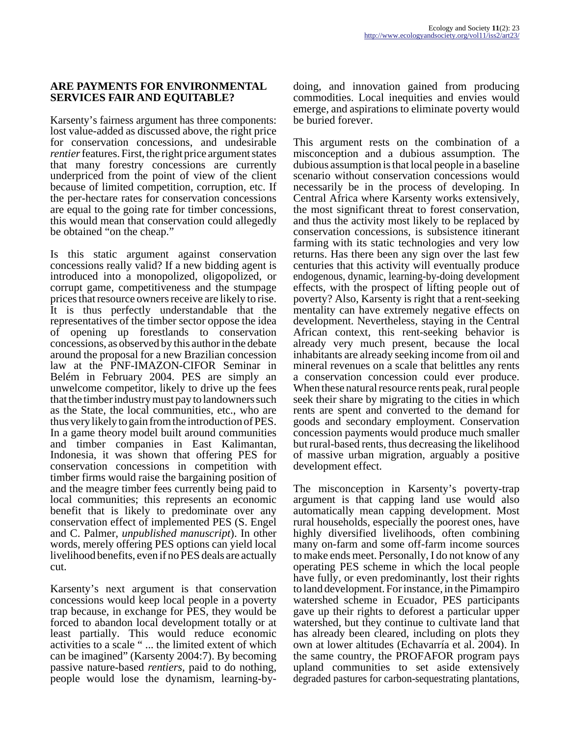### **ARE PAYMENTS FOR ENVIRONMENTAL SERVICES FAIR AND EQUITABLE?**

Karsenty's fairness argument has three components: lost value-added as discussed above, the right price for conservation concessions, and undesirable *rentier* features. First, the right price argument states that many forestry concessions are currently underpriced from the point of view of the client because of limited competition, corruption, etc. If the per-hectare rates for conservation concessions are equal to the going rate for timber concessions, this would mean that conservation could allegedly be obtained "on the cheap."

Is this static argument against conservation concessions really valid? If a new bidding agent is introduced into a monopolized, oligopolized, or corrupt game, competitiveness and the stumpage prices that resource owners receive are likely to rise. It is thus perfectly understandable that the representatives of the timber sector oppose the idea of opening up forestlands to conservation concessions, as observed by this author in the debate around the proposal for a new Brazilian concession law at the PNF-IMAZON-CIFOR Seminar in Belém in February 2004. PES are simply an unwelcome competitor, likely to drive up the fees that the timber industry must pay to landowners such as the State, the local communities, etc., who are thus very likely to gain from the introduction of PES. In a game theory model built around communities and timber companies in East Kalimantan, Indonesia, it was shown that offering PES for conservation concessions in competition with timber firms would raise the bargaining position of and the meagre timber fees currently being paid to local communities; this represents an economic benefit that is likely to predominate over any conservation effect of implemented PES (S. Engel and C. Palmer, *unpublished manuscript*). In other words, merely offering PES options can yield local livelihood benefits, even if no PES deals are actually cut.

Karsenty's next argument is that conservation concessions would keep local people in a poverty trap because, in exchange for PES, they would be forced to abandon local development totally or at least partially. This would reduce economic activities to a scale " ... the limited extent of which can be imagined" (Karsenty 2004:7). By becoming passive nature-based *rentiers,* paid to do nothing, people would lose the dynamism, learning-bydoing, and innovation gained from producing commodities. Local inequities and envies would emerge, and aspirations to eliminate poverty would be buried forever.

This argument rests on the combination of a misconception and a dubious assumption. The dubious assumption is that local people in a baseline scenario without conservation concessions would necessarily be in the process of developing. In Central Africa where Karsenty works extensively, the most significant threat to forest conservation, and thus the activity most likely to be replaced by conservation concessions, is subsistence itinerant farming with its static technologies and very low returns. Has there been any sign over the last few centuries that this activity will eventually produce endogenous, dynamic, learning-by-doing development effects, with the prospect of lifting people out of poverty? Also, Karsenty is right that a rent-seeking mentality can have extremely negative effects on development. Nevertheless, staying in the Central African context, this rent-seeking behavior is already very much present, because the local inhabitants are already seeking income from oil and mineral revenues on a scale that belittles any rents a conservation concession could ever produce. When these natural resource rents peak, rural people seek their share by migrating to the cities in which rents are spent and converted to the demand for goods and secondary employment. Conservation concession payments would produce much smaller but rural-based rents, thus decreasing the likelihood of massive urban migration, arguably a positive development effect.

The misconception in Karsenty's poverty-trap argument is that capping land use would also automatically mean capping development. Most rural households, especially the poorest ones, have highly diversified livelihoods, often combining many on-farm and some off-farm income sources to make ends meet. Personally, I do not know of any operating PES scheme in which the local people have fully, or even predominantly, lost their rights to land development. For instance, in the Pimampiro watershed scheme in Ecuador, PES participants gave up their rights to deforest a particular upper watershed, but they continue to cultivate land that has already been cleared, including on plots they own at lower altitudes (Echavarría et al. 2004). In the same country, the PROFAFOR program pays upland communities to set aside extensively degraded pastures for carbon-sequestrating plantations,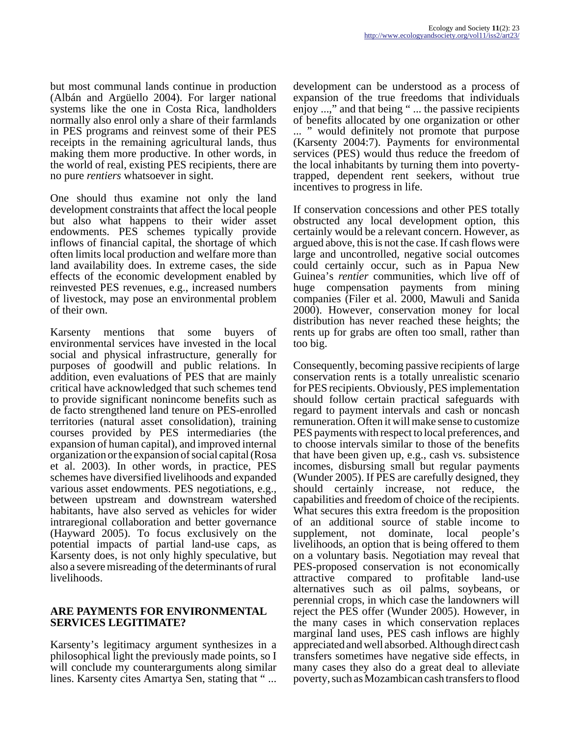but most communal lands continue in production (Albán and Argüello 2004). For larger national systems like the one in Costa Rica, landholders normally also enrol only a share of their farmlands in PES programs and reinvest some of their PES receipts in the remaining agricultural lands, thus making them more productive. In other words, in the world of real, existing PES recipients, there are no pure *rentiers* whatsoever in sight.

One should thus examine not only the land development constraints that affect the local people but also what happens to their wider asset endowments. PES schemes typically provide inflows of financial capital, the shortage of which often limits local production and welfare more than land availability does. In extreme cases, the side effects of the economic development enabled by reinvested PES revenues, e.g., increased numbers of livestock, may pose an environmental problem of their own.

Karsenty mentions that some buyers of environmental services have invested in the local social and physical infrastructure, generally for purposes of goodwill and public relations. In addition, even evaluations of PES that are mainly critical have acknowledged that such schemes tend to provide significant nonincome benefits such as de facto strengthened land tenure on PES-enrolled territories (natural asset consolidation), training courses provided by PES intermediaries (the expansion of human capital), and improved internal organization or the expansion of social capital (Rosa et al. 2003). In other words, in practice, PES schemes have diversified livelihoods and expanded various asset endowments. PES negotiations, e.g., between upstream and downstream watershed habitants, have also served as vehicles for wider intraregional collaboration and better governance (Hayward 2005). To focus exclusively on the potential impacts of partial land-use caps, as Karsenty does, is not only highly speculative, but also a severe misreading of the determinants of rural livelihoods.

#### **ARE PAYMENTS FOR ENVIRONMENTAL SERVICES LEGITIMATE?**

Karsenty's legitimacy argument synthesizes in a philosophical light the previously made points, so I will conclude my counterarguments along similar lines. Karsenty cites Amartya Sen, stating that "...

development can be understood as a process of expansion of the true freedoms that individuals enjoy ...," and that being " ... the passive recipients of benefits allocated by one organization or other ... " would definitely not promote that purpose (Karsenty 2004:7). Payments for environmental services (PES) would thus reduce the freedom of the local inhabitants by turning them into povertytrapped, dependent rent seekers, without true incentives to progress in life.

If conservation concessions and other PES totally obstructed any local development option, this certainly would be a relevant concern. However, as argued above, this is not the case. If cash flows were large and uncontrolled, negative social outcomes could certainly occur, such as in Papua New Guinea's *rentier* communities, which live off of huge compensation payments from mining companies (Filer et al. 2000, Mawuli and Sanida 2000). However, conservation money for local distribution has never reached these heights; the rents up for grabs are often too small, rather than too big.

Consequently, becoming passive recipients of large conservation rents is a totally unrealistic scenario for PES recipients. Obviously, PES implementation should follow certain practical safeguards with regard to payment intervals and cash or noncash remuneration. Often it will make sense to customize PES payments with respect to local preferences, and to choose intervals similar to those of the benefits that have been given up, e.g., cash vs. subsistence incomes, disbursing small but regular payments (Wunder 2005). If PES are carefully designed, they should certainly increase, not reduce, the capabilities and freedom of choice of the recipients. What secures this extra freedom is the proposition of an additional source of stable income to supplement, not dominate, local people's livelihoods, an option that is being offered to them on a voluntary basis. Negotiation may reveal that PES-proposed conservation is not economically attractive compared to profitable land-use alternatives such as oil palms, soybeans, or perennial crops, in which case the landowners will reject the PES offer (Wunder 2005). However, in the many cases in which conservation replaces marginal land uses, PES cash inflows are highly appreciated and well absorbed. Although direct cash transfers sometimes have negative side effects, in many cases they also do a great deal to alleviate poverty, such as Mozambican cash transfers to flood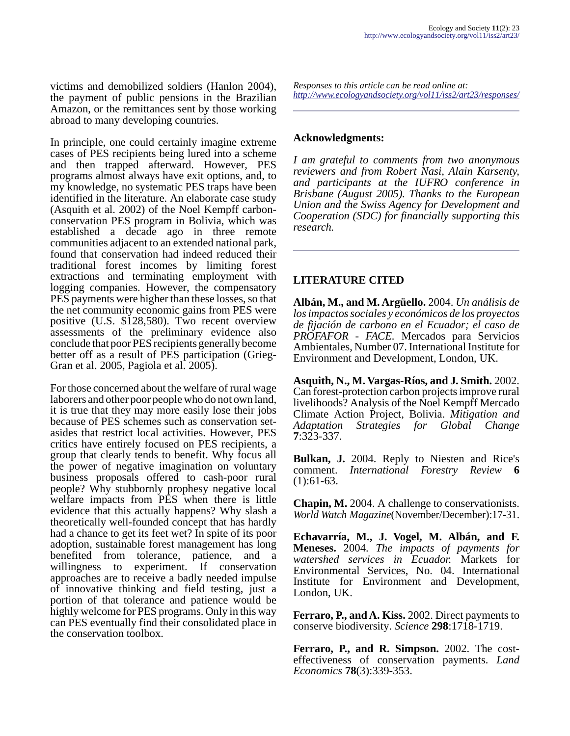victims and demobilized soldiers (Hanlon 2004), the payment of public pensions in the Brazilian Amazon, or the remittances sent by those working abroad to many developing countries.

In principle, one could certainly imagine extreme cases of PES recipients being lured into a scheme and then trapped afterward. However, PES programs almost always have exit options, and, to my knowledge, no systematic PES traps have been identified in the literature. An elaborate case study (Asquith et al. 2002) of the Noel Kempff carbonconservation PES program in Bolivia, which was established a decade ago in three remote communities adjacent to an extended national park, found that conservation had indeed reduced their traditional forest incomes by limiting forest extractions and terminating employment with logging companies. However, the compensatory PES payments were higher than these losses, so that the net community economic gains from PES were positive (U.S. \$128,580). Two recent overview assessments of the preliminary evidence also conclude that poor PES recipients generally become better off as a result of PES participation (Grieg-Gran et al. 2005, Pagiola et al. 2005).

For those concerned about the welfare of rural wage laborers and other poor people who do not own land, it is true that they may more easily lose their jobs because of PES schemes such as conservation setasides that restrict local activities. However, PES critics have entirely focused on PES recipients, a group that clearly tends to benefit. Why focus all the power of negative imagination on voluntary business proposals offered to cash-poor rural people? Why stubbornly prophesy negative local welfare impacts from PES when there is little evidence that this actually happens? Why slash a theoretically well-founded concept that has hardly had a chance to get its feet wet? In spite of its poor adoption, sustainable forest management has long benefited from tolerance, patience, and a willingness to experiment. If conservation approaches are to receive a badly needed impulse of innovative thinking and field testing, just a portion of that tolerance and patience would be highly welcome for PES programs. Only in this way can PES eventually find their consolidated place in the conservation toolbox.

*Responses to this article can be read online at: <http://www.ecologyandsociety.org/vol11/iss2/art23/responses/>*

### **Acknowledgments:**

*I am grateful to comments from two anonymous reviewers and from Robert Nasi, Alain Karsenty, and participants at the IUFRO conference in Brisbane (August 2005). Thanks to the European Union and the Swiss Agency for Development and Cooperation (SDC) for financially supporting this research.* 

### **LITERATURE CITED**

**Albán, M., and M. Argüello.** 2004. *Un análisis de los impactos sociales y económicos de los proyectos de fijación de carbono en el Ecuador; el caso de PROFAFOR - FACE.* Mercados para Servicios Ambientales, Number 07. International Institute for Environment and Development, London, UK.

**Asquith, N., M. Vargas-Ríos, and J. Smith.** 2002. Can forest-protection carbon projects improve rural livelihoods? Analysis of the Noel Kempff Mercado Climate Action Project, Bolivia. *Mitigation and Adaptation Strategies for Global Change* **7**:323-337.

**Bulkan, J.** 2004. Reply to Niesten and Rice's comment. *International Forestry Review* **6** (1):61-63.

**Chapin, M.** 2004. A challenge to conservationists. *World Watch Magazine*(November/December):17-31.

**Echavarría, M., J. Vogel, M. Albán, and F. Meneses.** 2004. *The impacts of payments for watershed services in Ecuador.* Markets for Environmental Services, No. 04. International Institute for Environment and Development, London, UK.

**Ferraro, P., and A. Kiss.** 2002. Direct payments to conserve biodiversity. *Science* **298**:1718-1719.

**Ferraro, P., and R. Simpson.** 2002. The costeffectiveness of conservation payments. *Land Economics* **78**(3):339-353.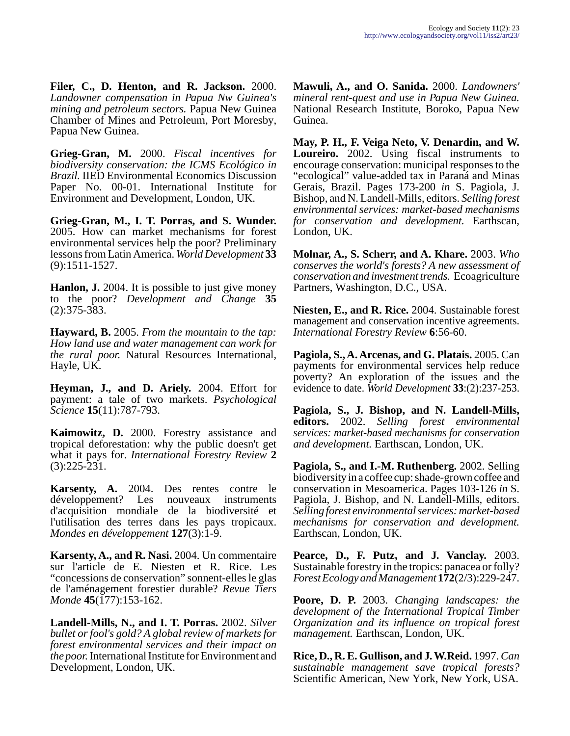**Filer, C., D. Henton, and R. Jackson.** 2000. *Landowner compensation in Papua Nw Guinea's mining and petroleum sectors.* Papua New Guinea Chamber of Mines and Petroleum, Port Moresby, Papua New Guinea.

**Grieg-Gran, M.** 2000. *Fiscal incentives for biodiversity conservation: the ICMS Ecológico in Brazil.* IIED Environmental Economics Discussion Paper No. 00-01. International Institute for Environment and Development, London, UK.

**Grieg-Gran, M., I. T. Porras, and S. Wunder.** 2005. How can market mechanisms for forest environmental services help the poor? Preliminary lessons from Latin America. *World Development* **33** (9):1511-1527.

**Hanlon, J.** 2004. It is possible to just give money to the poor? *Development and Change* **35** (2):375-383.

**Hayward, B.** 2005. *From the mountain to the tap: How land use and water management can work for the rural poor.* Natural Resources International, Hayle, UK.

**Heyman, J., and D. Ariely.** 2004. Effort for payment: a tale of two markets. *Psychological Science* **15**(11):787-793.

**Kaimowitz, D.** 2000. Forestry assistance and tropical deforestation: why the public doesn't get what it pays for. *International Forestry Review* **2** (3):225-231.

**Karsenty, A.** 2004. Des rentes contre le développement? Les nouveaux instruments d'acquisition mondiale de la biodiversité et l'utilisation des terres dans les pays tropicaux. *Mondes en développement* **127**(3):1-9.

**Karsenty, A., and R. Nasi.** 2004. Un commentaire sur l'article de E. Niesten et R. Rice. Les "concessions de conservation" sonnent-elles le glas de l'aménagement forestier durable? *Revue Tiers Monde* **45**(177):153-162.

**Landell-Mills, N., and I. T. Porras.** 2002. *Silver bullet or fool's gold? A global review of markets for forest environmental services and their impact on the poor.* International Institute for Environment and Development, London, UK.

**Mawuli, A., and O. Sanida.** 2000. *Landowners' mineral rent-quest and use in Papua New Guinea.* National Research Institute, Boroko, Papua New Guinea.

**May, P. H., F. Veiga Neto, V. Denardin, and W. Loureiro.** 2002. Using fiscal instruments to encourage conservation: municipal responses to the "ecological" value-added tax in Paraná and Minas Gerais, Brazil. Pages 173-200 *in* S. Pagiola, J. Bishop, and N. Landell-Mills, editors. *Selling forest environmental services: market-based mechanisms for conservation and development.* Earthscan, London, UK.

**Molnar, A., S. Scherr, and A. Khare.** 2003. *Who conserves the world's forests? A new assessment of conservation and investment trends.* Ecoagriculture Partners, Washington, D.C., USA.

**Niesten, E., and R. Rice.** 2004. Sustainable forest management and conservation incentive agreements. *International Forestry Review* **6**:56-60.

**Pagiola, S., A. Arcenas, and G. Platais.** 2005. Can payments for environmental services help reduce poverty? An exploration of the issues and the evidence to date. *World Development* **33**:(2):237-253.

**Pagiola, S., J. Bishop, and N. Landell-Mills, editors.** 2002. *Selling forest environmental services: market-based mechanisms for conservation and development.* Earthscan, London, UK.

**Pagiola, S., and I.-M. Ruthenberg.** 2002. Selling biodiversity in a coffee cup: shade-grown coffee and conservation in Mesoamerica. Pages 103-126 *in* S. Pagiola, J. Bishop, and N. Landell-Mills, editors. *Selling forest environmental services: market-based mechanisms for conservation and development.* Earthscan, London, UK.

**Pearce, D., F. Putz, and J. Vanclay.** 2003. Sustainable forestry in the tropics: panacea or folly? *Forest Ecology and Management* **172**(2/3):229-247.

**Poore, D. P.** 2003. *Changing landscapes: the development of the International Tropical Timber Organization and its influence on tropical forest management.* Earthscan, London, UK.

**Rice, D., R. E. Gullison, and J. W.Reid.** 1997. *Can sustainable management save tropical forests?* Scientific American, New York, New York, USA.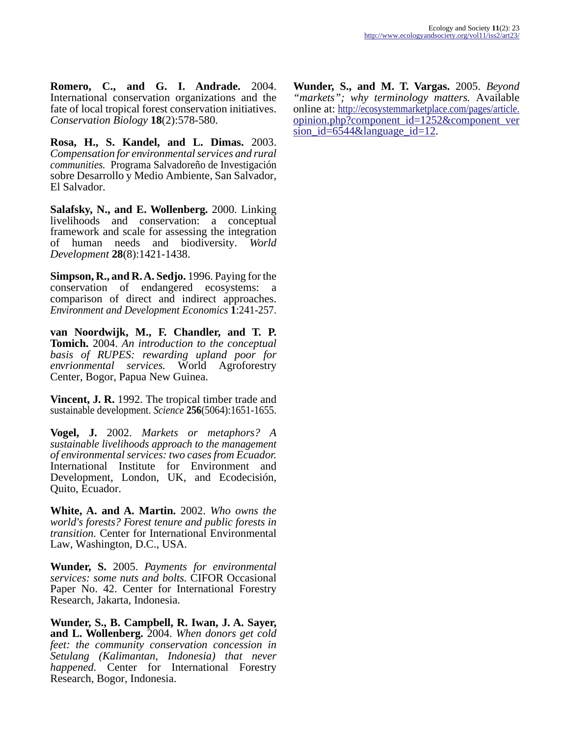**Romero, C., and G. I. Andrade.** 2004. International conservation organizations and the fate of local tropical forest conservation initiatives. *Conservation Biology* **18**(2):578-580.

**Rosa, H., S. Kandel, and L. Dimas.** 2003. *Compensation for environmental services and rural communities.* Programa Salvadoreño de Investigación sobre Desarrollo y Medio Ambiente, San Salvador, El Salvador.

**Salafsky, N., and E. Wollenberg.** 2000. Linking livelihoods and conservation: a conceptual framework and scale for assessing the integration of human needs and biodiversity. *World Development* **28**(8):1421-1438.

**Simpson, R., and R. A. Sedjo.** 1996. Paying for the conservation of endangered ecosystems: a comparison of direct and indirect approaches. *Environment and Development Economics* **1**:241-257.

**van Noordwijk, M., F. Chandler, and T. P. Tomich.** 2004. *An introduction to the conceptual basis of RUPES: rewarding upland poor for envrionmental services.* World Agroforestry Center, Bogor, Papua New Guinea.

**Vincent, J. R.** 1992. The tropical timber trade and sustainable development. *Science* **256**(5064):1651-1655.

**Vogel, J.** 2002. *Markets or metaphors? A sustainable livelihoods approach to the management of environmental services: two cases from Ecuador.* International Institute for Environment and Development, London, UK, and Ecodecisión, Quito, Ecuador.

**White, A. and A. Martin.** 2002. *Who owns the world's forests? Forest tenure and public forests in transition.* Center for International Environmental Law, Washington, D.C., USA.

**Wunder, S.** 2005. *Payments for environmental services: some nuts and bolts.* CIFOR Occasional Paper No. 42. Center for International Forestry Research, Jakarta, Indonesia.

**Wunder, S., B. Campbell, R. Iwan, J. A. Sayer, and L. Wollenberg.** 2004. *When donors get cold feet: the community conservation concession in Setulang (Kalimantan, Indonesia) that never happened.* Center for International Forestry Research, Bogor, Indonesia.

**Wunder, S., and M. T. Vargas.** 2005. *Beyond "markets"; why terminology matters.* Available online at: [http://ecosystemmarketplace.com/pages/article.](http://ecosystemmarketplace.com/pages/article.opinion.php?component_id=1252&component_version_id=6544&language_id=12) [opinion.php?component\\_id=1252&component\\_ver](http://ecosystemmarketplace.com/pages/article.opinion.php?component_id=1252&component_version_id=6544&language_id=12) sion  $id=6544\&$ language  $id=12$ .